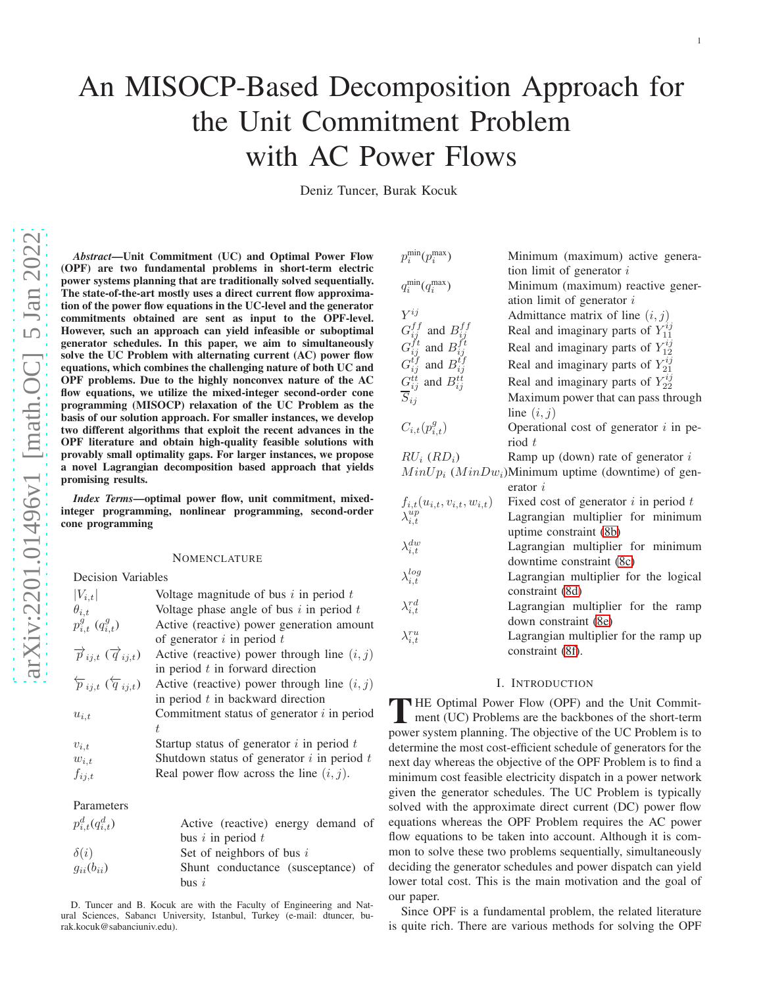# An MISOCP-Based Decomposition Approach for the Unit Commitment Problem with AC Power Flows

Deniz Tuncer, Burak Kocuk

*Abstract*—Unit Commitment (UC) and Optimal Power Flow (OPF) are two fundamental problems in short-term electric power systems planning that are traditionally solved sequentially. The state-of-the-art mostly uses a direct current flow approximation of the power flow equations in the UC-level and the generator commitments obtained are sent as input to the OPF-level. However, such an approach can yield infeasible or suboptima l generator schedules. In this paper, we aim to simultaneousl y solve the UC Problem with alternating current (AC) power flow equations, which combines the challenging nature of both UC and OPF problems. Due to the highly nonconvex nature of the AC flow equations, we utilize the mixed-integer second-order cone programming (MISOCP) relaxation of the UC Problem as the basis of our solution approach. For smaller instances, we develop two different algorithms that exploit the recent advances in the OPF literature and obtain high-quality feasible solutions with provably small optimality gaps. For larger instances, we propose a novel Lagrangian decomposition based approach that yield s promising results.

*Index Terms*—optimal power flow, unit commitment, mixedinteger programming, nonlinear programming, second-order cone programming

## NOMENCLATURE

Decision Variables

| $ V_{i,t} $                                               | Voltage magnitude of bus $i$ in period $t$     |
|-----------------------------------------------------------|------------------------------------------------|
| $\theta_{i,t}$                                            | Voltage phase angle of bus $i$ in period $t$   |
| $p_{i.t}^{g}$ $(q_{i,t}^{g})$                             | Active (reactive) power generation amount      |
|                                                           | of generator $i$ in period $t$                 |
| $\overrightarrow{p}_{ij,t}$ $(\overrightarrow{q}_{ij,t})$ | Active (reactive) power through line $(i, j)$  |
|                                                           | in period $t$ in forward direction             |
| $\overleftarrow{p}_{i,i,t}$ $(\overleftarrow{q}_{i,i,t})$ | Active (reactive) power through line $(i, j)$  |
|                                                           | in period $t$ in backward direction            |
| $u_{i,t}$                                                 | Commitment status of generator $i$ in period   |
|                                                           |                                                |
| $v_{i,t}$                                                 | Startup status of generator $i$ in period $t$  |
| $w_{i,t}$                                                 | Shutdown status of generator $i$ in period $t$ |
| $f_{ij,t}$                                                | Real power flow across the line $(i, j)$ .     |
|                                                           |                                                |

# Parameters

| $p_{i,t}^d(q_{i,t}^d)$ | Active (reactive) energy demand of |
|------------------------|------------------------------------|
|                        | bus $i$ in period $t$              |
| $\delta(i)$            | Set of neighbors of bus $i$        |
| $g_{ii}(b_{ii})$       | Shunt conductance (susceptance) of |
|                        | $_{\text{bus}}$ i                  |

D. Tuncer and B. Kocuk are with the Faculty of Engineering and Natural Sciences, Sabancı University, Istanbul, Turkey (e-mail: dtuncer, burak.kocuk@sabanciuniv.edu).

| $p_i^{\min}(p_i^{\max})$                                                                                                                                        | Minimum (maximum) active genera-                         |
|-----------------------------------------------------------------------------------------------------------------------------------------------------------------|----------------------------------------------------------|
|                                                                                                                                                                 | tion limit of generator $i$                              |
| $q_i^{\min}(q_i^{\max})$                                                                                                                                        | Minimum (maximum) reactive gener-                        |
|                                                                                                                                                                 | ation limit of generator $i$                             |
| $V^{ij}$                                                                                                                                                        | Admittance matrix of line $(i, j)$                       |
|                                                                                                                                                                 | Real and imaginary parts of $Y_{11}^{ij}$                |
| $G_{ij}^{ff}$ and $B_{ij}^{ff}$<br>$G_{ij}^{ft}$ and $B_{ij}^{tf}$<br>$G_{ij}^{tf}$ and $B_{ij}^{tf}$<br>$G_{ij}^{tt}$ and $B_{ij}^{tf}$<br>$\overline{S}_{ij}$ | Real and imaginary parts of $Y_{12}^{ij}$                |
|                                                                                                                                                                 | Real and imaginary parts of $Y_{21}^{ij}$                |
|                                                                                                                                                                 | Real and imaginary parts of $Y_{22}^{ij}$                |
|                                                                                                                                                                 | Maximum power that can pass through                      |
|                                                                                                                                                                 | line $(i, j)$                                            |
| $C_{i,t}(p_{i,t}^g)$                                                                                                                                            | Operational cost of generator $i$ in pe-                 |
|                                                                                                                                                                 | $\text{riod } t$                                         |
| $RU_i$ $(RD_i)$                                                                                                                                                 | Ramp up (down) rate of generator $i$                     |
|                                                                                                                                                                 | $MinUp_i$ ( $MinDw_i$ )Minimum uptime (downtime) of gen- |
|                                                                                                                                                                 | erator $i$                                               |
| $f_{i,t}(u_{i,t}, v_{i,t}, w_{i,t})$<br>$\lambda_{i,t}^{up}$                                                                                                    | Fixed cost of generator $i$ in period $t$                |
|                                                                                                                                                                 | Lagrangian multiplier for minimum                        |
|                                                                                                                                                                 | uptime constraint (8b)                                   |
| $\lambda_{i,t}^{dw}$                                                                                                                                            | Lagrangian multiplier for minimum                        |
|                                                                                                                                                                 | downtime constraint (8c)                                 |
| $\lambda_{i,t}^{log}$                                                                                                                                           | Lagrangian multiplier for the logical                    |
|                                                                                                                                                                 | constraint (8d)                                          |
| $\lambda^{rd}_{i.t}$                                                                                                                                            | Lagrangian multiplier for the ramp                       |
|                                                                                                                                                                 | down constraint (8e)                                     |
| $\lambda^{ru}_{i,t}$                                                                                                                                            | Lagrangian multiplier for the ramp up                    |
|                                                                                                                                                                 | constraint (8f).                                         |

#### I. INTRODUCTION

THE Optimal Power Flow (OPF) and the Unit Commit-<br>ment (UC) Problems are the backbones of the short-term<br>manuscaustan planning. The chiesting of the UG Problem is to ment (UC) Problems are the backbones of the short-term power system planning. The objective of the UC Problem is to determine the most cost-efficient schedule of generators for the next day whereas the objective of the OPF Problem is to find a minimum cost feasible electricity dispatch in a power network given the generator schedules. The UC Problem is typically solved with the approximate direct current (DC) power flow equations whereas the OPF Problem requires the AC power flow equations to be taken into account. Although it is common to solve these two problems sequentially, simultaneously deciding the generator schedules and power dispatch can yield lower total cost. This is the main motivation and the goal of our paper.

Since OPF is a fundamental problem, the related literature is quite rich. There are various methods for solving the OPF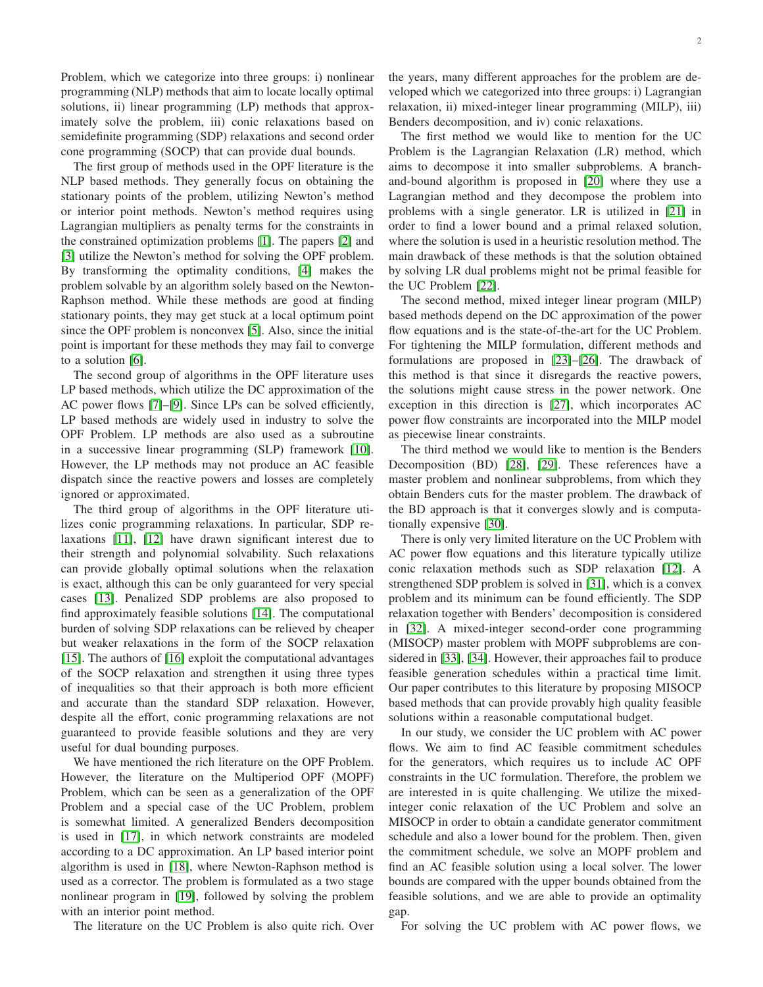Problem, which we categorize into three groups: i) nonlinear programming (NLP) methods that aim to locate locally optimal solutions, ii) linear programming (LP) methods that approximately solve the problem, iii) conic relaxations based on semidefinite programming (SDP) relaxations and second order cone programming (SOCP) that can provide dual bounds.

The first group of methods used in the OPF literature is the NLP based methods. They generally focus on obtaining the stationary points of the problem, utilizing Newton's method or interior point methods. Newton's method requires using Lagrangian multipliers as penalty terms for the constraints in the constrained optimization problems [\[1\]](#page-8-0). The papers [\[2\]](#page-8-1) and [\[3\]](#page-8-2) utilize the Newton's method for solving the OPF problem. By transforming the optimality conditions, [\[4\]](#page-8-3) makes the problem solvable by an algorithm solely based on the Newton-Raphson method. While these methods are good at finding stationary points, they may get stuck at a local optimum point since the OPF problem is nonconvex [\[5\]](#page-8-4). Also, since the initial point is important for these methods they may fail to converge to a solution [\[6\]](#page-8-5).

The second group of algorithms in the OPF literature uses LP based methods, which utilize the DC approximation of the AC power flows [\[7\]](#page-8-6)–[\[9\]](#page-8-7). Since LPs can be solved efficiently, LP based methods are widely used in industry to solve the OPF Problem. LP methods are also used as a subroutine in a successive linear programming (SLP) framework [\[10\]](#page-8-8). However, the LP methods may not produce an AC feasible dispatch since the reactive powers and losses are completely ignored or approximated.

The third group of algorithms in the OPF literature utilizes conic programming relaxations. In particular, SDP relaxations [\[11\]](#page-8-9), [\[12\]](#page-8-10) have drawn significant interest due to their strength and polynomial solvability. Such relaxations can provide globally optimal solutions when the relaxation is exact, although this can be only guaranteed for very special cases [\[13\]](#page-8-11). Penalized SDP problems are also proposed to find approximately feasible solutions [\[14\]](#page-8-12). The computational burden of solving SDP relaxations can be relieved by cheaper but weaker relaxations in the form of the SOCP relaxation [\[15\]](#page-8-13). The authors of [\[16\]](#page-8-14) exploit the computational advantages of the SOCP relaxation and strengthen it using three types of inequalities so that their approach is both more efficient and accurate than the standard SDP relaxation. However, despite all the effort, conic programming relaxations are not guaranteed to provide feasible solutions and they are very useful for dual bounding purposes.

We have mentioned the rich literature on the OPF Problem. However, the literature on the Multiperiod OPF (MOPF) Problem, which can be seen as a generalization of the OPF Problem and a special case of the UC Problem, problem is somewhat limited. A generalized Benders decomposition is used in [\[17\]](#page-8-15), in which network constraints are modeled according to a DC approximation. An LP based interior point algorithm is used in [\[18\]](#page-8-16), where Newton-Raphson method is used as a corrector. The problem is formulated as a two stage nonlinear program in [\[19\]](#page-8-17), followed by solving the problem with an interior point method.

The literature on the UC Problem is also quite rich. Over

the years, many different approaches for the problem are developed which we categorized into three groups: i) Lagrangian relaxation, ii) mixed-integer linear programming (MILP), iii) Benders decomposition, and iv) conic relaxations.

The first method we would like to mention for the UC Problem is the Lagrangian Relaxation (LR) method, which aims to decompose it into smaller subproblems. A branchand-bound algorithm is proposed in [\[20\]](#page-8-18) where they use a Lagrangian method and they decompose the problem into problems with a single generator. LR is utilized in [\[21\]](#page-8-19) in order to find a lower bound and a primal relaxed solution, where the solution is used in a heuristic resolution method. The main drawback of these methods is that the solution obtained by solving LR dual problems might not be primal feasible for the UC Problem [\[22\]](#page-8-20).

The second method, mixed integer linear program (MILP) based methods depend on the DC approximation of the power flow equations and is the state-of-the-art for the UC Problem. For tightening the MILP formulation, different methods and formulations are proposed in [\[23\]](#page-8-21)–[\[26\]](#page-8-22). The drawback of this method is that since it disregards the reactive powers, the solutions might cause stress in the power network. One exception in this direction is [\[27\]](#page-8-23), which incorporates AC power flow constraints are incorporated into the MILP model as piecewise linear constraints.

The third method we would like to mention is the Benders Decomposition (BD) [\[28\]](#page-8-24), [\[29\]](#page-8-25). These references have a master problem and nonlinear subproblems, from which they obtain Benders cuts for the master problem. The drawback of the BD approach is that it converges slowly and is computationally expensive [\[30\]](#page-8-26).

There is only very limited literature on the UC Problem with AC power flow equations and this literature typically utilize conic relaxation methods such as SDP relaxation [\[12\]](#page-8-10). A strengthened SDP problem is solved in [\[31\]](#page-8-27), which is a convex problem and its minimum can be found efficiently. The SDP relaxation together with Benders' decomposition is considered in [\[32\]](#page-8-28). A mixed-integer second-order cone programming (MISOCP) master problem with MOPF subproblems are considered in [\[33\]](#page-8-29), [\[34\]](#page-8-30). However, their approaches fail to produce feasible generation schedules within a practical time limit. Our paper contributes to this literature by proposing MISOCP based methods that can provide provably high quality feasible solutions within a reasonable computational budget.

In our study, we consider the UC problem with AC power flows. We aim to find AC feasible commitment schedules for the generators, which requires us to include AC OPF constraints in the UC formulation. Therefore, the problem we are interested in is quite challenging. We utilize the mixedinteger conic relaxation of the UC Problem and solve an MISOCP in order to obtain a candidate generator commitment schedule and also a lower bound for the problem. Then, given the commitment schedule, we solve an MOPF problem and find an AC feasible solution using a local solver. The lower bounds are compared with the upper bounds obtained from the feasible solutions, and we are able to provide an optimality gap.

For solving the UC problem with AC power flows, we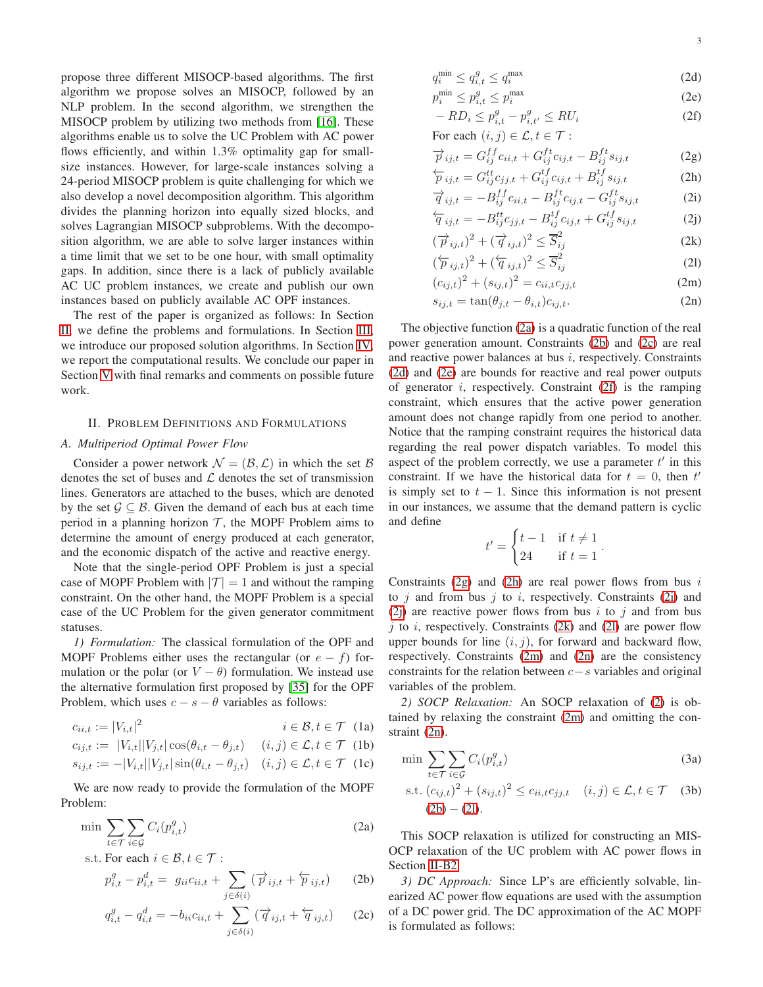propose three different MISOCP-based algorithms. The first algorithm we propose solves an MISOCP, followed by an NLP problem. In the second algorithm, we strengthen the MISOCP problem by utilizing two methods from [\[16\]](#page-8-14). These algorithms enable us to solve the UC Problem with AC power flows efficiently, and within 1.3% optimality gap for smallsize instances. However, for large-scale instances solving a 24-period MISOCP problem is quite challenging for which we also develop a novel decomposition algorithm. This algorithm divides the planning horizon into equally sized blocks, and solves Lagrangian MISOCP subproblems. With the decomposition algorithm, we are able to solve larger instances within a time limit that we set to be one hour, with small optimality gaps. In addition, since there is a lack of publicly available AC UC problem instances, we create and publish our own instances based on publicly available AC OPF instances.

The rest of the paper is organized as follows: In Section [II,](#page-2-0) we define the problems and formulations. In Section [III,](#page-3-0) we introduce our proposed solution algorithms. In Section [IV,](#page-5-4) we report the computational results. We conclude our paper in Section [V](#page-6-0) with final remarks and comments on possible future work.

# <span id="page-2-0"></span>II. PROBLEM DEFINITIONS AND FORMULATIONS

## *A. Multiperiod Optimal Power Flow*

Consider a power network  $\mathcal{N} = (\mathcal{B}, \mathcal{L})$  in which the set  $\mathcal{B}$ denotes the set of buses and  $\mathcal L$  denotes the set of transmission lines. Generators are attached to the buses, which are denoted by the set  $\mathcal{G} \subseteq \mathcal{B}$ . Given the demand of each bus at each time period in a planning horizon  $\mathcal{T}$ , the MOPF Problem aims to determine the amount of energy produced at each generator, and the economic dispatch of the active and reactive energy.

Note that the single-period OPF Problem is just a special case of MOPF Problem with  $|\mathcal{T}| = 1$  and without the ramping constraint. On the other hand, the MOPF Problem is a special case of the UC Problem for the given generator commitment statuses.

<span id="page-2-6"></span>*1) Formulation:* The classical formulation of the OPF and MOPF Problems either uses the rectangular (or  $e - f$ ) formulation or the polar (or  $V - \theta$ ) formulation. We instead use the alternative formulation first proposed by [\[35\]](#page-8-31) for the OPF Problem, which uses  $c - s - \theta$  variables as follows:

$$
c_{ii,t} := |V_{i,t}|^2 \qquad \qquad i \in \mathcal{B}, t \in \mathcal{T} \quad (1a)
$$

$$
c_{ij,t} := |V_{i,t}| |V_{j,t}| \cos(\theta_{i,t} - \theta_{j,t}) \quad (i,j) \in \mathcal{L}, t \in \mathcal{T} \text{ (1b)}
$$

$$
s_{ij,t} := -|V_{i,t}||V_{j,t}|\sin(\theta_{i,t} - \theta_{j,t}) \quad (i,j) \in \mathcal{L}, t \in \mathcal{T} \quad (1c)
$$

We are now ready to provide the formulation of the MOPF Problem:

$$
\min \sum_{t \in \mathcal{T}} \sum_{i \in \mathcal{G}} C_i(p_{i,t}^g) \tag{2a}
$$

s.t. For each 
$$
i \in \mathcal{B}, t \in \mathcal{T}
$$
:

$$
p_{i,t}^g - p_{i,t}^d = g_{ii}c_{ii,t} + \sum_{j \in \delta(i)} (\overrightarrow{p}_{ij,t} + \overleftarrow{p}_{ij,t})
$$
 (2b)

$$
q_{i,t}^g - q_{i,t}^d = -b_{ii}c_{ii,t} + \sum_{j \in \delta(i)} (\overrightarrow{q}_{ij,t} + \overleftarrow{q}_{ij,t})
$$
 (2c)

$$
q_i^{\min} \le q_{i,t}^g \le q_i^{\max} \tag{2d}
$$

$$
p_i^{\min} \le p_{i,t}^g \le p_i^{\max} \tag{2e}
$$

$$
-RD_i \le p_{i,t}^g - p_{i,t'}^g \le RU_i \tag{2f}
$$

For each 
$$
(i, j) \in \mathcal{L}, t \in \mathcal{T}
$$
:

$$
\overrightarrow{p}_{ij,t} = G_{ij}^{ff} c_{ii,t} + G_{ij}^{ft} c_{ij,t} - B_{ij}^{ft} s_{ij,t}
$$
(2g)

$$
\overleftarrow{p}_{ij,t} = G_{ij}^{tt} c_{jj,t} + G_{ij}^{tf} c_{ij,t} + B_{ij}^{tf} s_{ij,t}
$$
 (2h)

$$
\overrightarrow{q}_{ij,t} = -B_{ij}^{ff} c_{ii,t} - B_{ij}^{ft} c_{ij,t} - G_{ij}^{ft} s_{ij,t}
$$
(2i)  
\n
$$
\overleftarrow{q}_{ij,t} = -B_{ij}^{tt} c_{ij,t} - B_{ij}^{tf} c_{ij,t} + G_{ij}^{tf} s_{ij,t}
$$
(2j)

<span id="page-2-2"></span><span id="page-2-1"></span>
$$
\overleftarrow{q}_{ij,t} = -B_{ij}^{tt} c_{jj,t} - B_{ij}^{tt} c_{ij,t} + G_{ij}^{tt} s_{ij,t}
$$
\n
$$
\overrightarrow{p}_{ij,t}^2 + (\overrightarrow{q}_{ij,t}^2)^2 \leq \overrightarrow{S}_{ij}^2
$$
\n(2k)

<span id="page-2-3"></span>
$$
(\overrightarrow{p}_{ij,t})^2 + (\overrightarrow{q}_{ij,t})^2 \leq \overrightarrow{S}_{ij}^2
$$
\n
$$
(\overleftarrow{p}_{ij,t})^2 + (\overleftarrow{q}_{ij,t})^2 \leq \overrightarrow{S}_{ij}^2
$$
\n(2k)

$$
\left(\overleftarrow{p}_{ij,t}\right)^2 + \left(\overleftarrow{q}_{ij,t}\right)^2 \le \overrightarrow{S}_{ij}^2
$$
\n
$$
(c_{ij,t})^2 + (s_{ij,t})^2 = c_{ii,t}c_{jj,t}
$$
\n
$$
(2\text{I})
$$
\n
$$
(2\text{I})
$$

<span id="page-2-5"></span><span id="page-2-4"></span>
$$
s_{ij,t} = \tan(\theta_{j,t} - \theta_{i,t})c_{ij,t}.
$$
 (2n)

The objective function [\(2a\)](#page-3-1) is a quadratic function of the real power generation amount. Constraints [\(2b\)](#page-3-2) and [\(2c\)](#page-3-3) are real and reactive power balances at bus i, respectively. Constraints [\(2d\)](#page-3-4) and [\(2e\)](#page-3-5) are bounds for reactive and real power outputs of generator *i*, respectively. Constraint  $(2f)$  is the ramping constraint, which ensures that the active power generation amount does not change rapidly from one period to another. Notice that the ramping constraint requires the historical data regarding the real power dispatch variables. To model this aspect of the problem correctly, we use a parameter  $t'$  in this constraint. If we have the historical data for  $t = 0$ , then  $t'$ is simply set to  $t - 1$ . Since this information is not present in our instances, we assume that the demand pattern is cyclic and define

$$
t' = \begin{cases} t - 1 & \text{if } t \neq 1 \\ 24 & \text{if } t = 1 \end{cases}.
$$

Constraints  $(2g)$  and  $(2h)$  are real power flows from bus i to  $j$  and from bus  $j$  to  $i$ , respectively. Constraints [\(2i\)](#page-3-9) and [\(2j\)](#page-2-1) are reactive power flows from bus i to j and from bus  $i$  to  $i$ , respectively. Constraints [\(2k\)](#page-2-2) and [\(2l\)](#page-2-3) are power flow upper bounds for line  $(i, j)$ , for forward and backward flow, respectively. Constraints [\(2m\)](#page-2-4) and [\(2n\)](#page-2-5) are the consistency constraints for the relation between  $c-s$  variables and original variables of the problem.

<span id="page-2-7"></span>*2) SOCP Relaxation:* An SOCP relaxation of [\(2\)](#page-3-2) is obtained by relaxing the constraint [\(2m\)](#page-2-4) and omitting the constraint [\(2n\)](#page-2-5).

$$
\min \sum_{t \in \mathcal{T}} \sum_{i \in \mathcal{G}} C_i(p_{i,t}^g) \tag{3a}
$$

s.t. 
$$
(c_{ij,t})^2 + (s_{ij,t})^2 \le c_{ii,t}c_{jj,t}
$$
  $(i, j) \in \mathcal{L}, t \in \mathcal{T}$  (3b)  
(2b) – (2l).

This SOCP relaxation is utilized for constructing an MIS-OCP relaxation of the UC problem with AC power flows in Section [II-B2.](#page-3-10)

*3) DC Approach:* Since LP's are efficiently solvable, linearized AC power flow equations are used with the assumption of a DC power grid. The DC approximation of the AC MOPF is formulated as follows: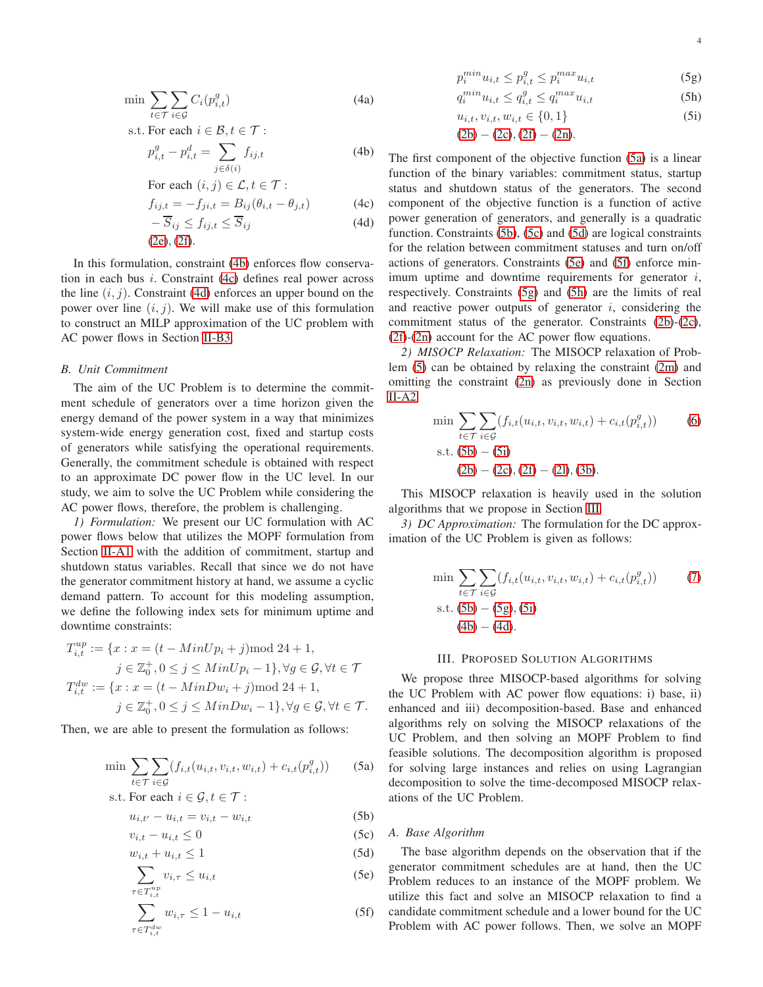$$
\min \sum_{t \in \mathcal{T}} \sum_{i \in \mathcal{G}} C_i(p_{i,t}^g) \tag{4a}
$$

s.t. For each 
$$
i \in \mathcal{B}, t \in \mathcal{T}
$$
:  
\n
$$
p_{i,t}^g - p_{i,t}^d = \sum_{j \in \delta(i)} f_{ij,t}
$$
\n(4b)

For each 
$$
(i, j) \in \mathcal{L}, t \in \mathcal{T}
$$
:

$$
f_{ij,t} = -f_{ji,t} = B_{ij}(\theta_{i,t} - \theta_{j,t})
$$
 (4c)

$$
-S_{ij} \le f_{ij,t} \le S_{ij}
$$
\n
$$
(2e), (2f).
$$
\n(4d)

In this formulation, constraint [\(4b\)](#page-3-2) enforces flow conservation in each bus i. Constraint [\(4c\)](#page-3-3) defines real power across the line  $(i, j)$ . Constraint [\(4d\)](#page-3-4) enforces an upper bound on the power over line  $(i, j)$ . We will make use of this formulation to construct an MILP approximation of the UC problem with AC power flows in Section [II-B3.](#page-3-11)

# *B. Unit Commitment*

The aim of the UC Problem is to determine the commitment schedule of generators over a time horizon given the energy demand of the power system in a way that minimizes system-wide energy generation cost, fixed and startup costs of generators while satisfying the operational requirements. Generally, the commitment schedule is obtained with respect to an approximate DC power flow in the UC level. In our study, we aim to solve the UC Problem while considering the AC power flows, therefore, the problem is challenging.

*1) Formulation:* We present our UC formulation with AC power flows below that utilizes the MOPF formulation from Section [II-A1](#page-2-6) with the addition of commitment, startup and shutdown status variables. Recall that since we do not have the generator commitment history at hand, we assume a cyclic demand pattern. To account for this modeling assumption, we define the following index sets for minimum uptime and downtime constraints:

$$
T_{i,t}^{up} := \{x : x = (t - MinUp_i + j) \mod 24 + 1,
$$
  
\n
$$
j \in \mathbb{Z}_0^+, 0 \le j \le MinUp_i - 1\}, \forall g \in \mathcal{G}, \forall t \in \mathcal{T}
$$
  
\n
$$
T_{i,t}^{dw} := \{x : x = (t - MinDw_i + j) \mod 24 + 1,
$$
  
\n
$$
j \in \mathbb{Z}_0^+, 0 \le j \le MinDw_i - 1\}, \forall g \in \mathcal{G}, \forall t \in \mathcal{T}.
$$

Then, we are able to present the formulation as follows:

$$
\min \sum_{t \in \mathcal{T}} \sum_{i \in \mathcal{G}} (f_{i,t}(u_{i,t}, v_{i,t}, w_{i,t}) + c_{i,t}(p_{i,t}^g)) \tag{5a}
$$

s.t. For each 
$$
i \in \mathcal{G}, t \in \mathcal{T}
$$
:

$$
u_{i,t'} - u_{i,t} = v_{i,t} - w_{i,t} \tag{5b}
$$

$$
v_{i,t} - u_{i,t} \le 0 \tag{5c}
$$

$$
w_{i,t} + u_{i,t} \le 1 \tag{5d}
$$

$$
\sum_{\tau \in T_{i,t}^{up}} v_{i,\tau} \le u_{i,t} \tag{5e}
$$

$$
\sum_{\tau \in T_{i,t}^{dw}} w_{i,\tau} \le 1 - u_{i,t} \tag{5f}
$$

<span id="page-3-8"></span>
$$
p_i^{min} u_{i,t} \le p_{i,t}^g \le p_i^{max} u_{i,t} \tag{5g}
$$

$$
q_i^{min} u_{i,t} \le q_{i,t}^g \le q_i^{max} u_{i,t}
$$
 (5h)

<span id="page-3-9"></span>
$$
u_{i,t}, v_{i,t}, w_{i,t} \in \{0, 1\}
$$
 (5i)

$$
(2b) - (2c), (2f) - (2n).
$$

The first component of the objective function [\(5a\)](#page-3-1) is a linear function of the binary variables: commitment status, startup status and shutdown status of the generators. The second component of the objective function is a function of active power generation of generators, and generally is a quadratic function. Constraints [\(5b\)](#page-3-2), [\(5c\)](#page-3-3) and [\(5d\)](#page-3-4) are logical constraints for the relation between commitment statuses and turn on/off actions of generators. Constraints [\(5e\)](#page-3-5) and [\(5f\)](#page-3-6) enforce minimum uptime and downtime requirements for generator  $i$ , respectively. Constraints [\(5g\)](#page-3-7) and [\(5h\)](#page-3-8) are the limits of real and reactive power outputs of generator  $i$ , considering the commitment status of the generator. Constraints [\(2b\)](#page-3-2)-[\(2c\)](#page-3-3), [\(2f\)](#page-3-6)-[\(2n\)](#page-2-5) account for the AC power flow equations.

<span id="page-3-10"></span>*2) MISOCP Relaxation:* The MISOCP relaxation of Problem [\(5\)](#page-3-5) can be obtained by relaxing the constraint [\(2m\)](#page-2-4) and omitting the constraint [\(2n\)](#page-2-5) as previously done in Section [II-A2.](#page-2-7)

<span id="page-3-6"></span>
$$
\min \sum_{t \in \mathcal{T}} \sum_{i \in \mathcal{G}} (f_{i,t}(u_{i,t}, v_{i,t}, w_{i,t}) + c_{i,t}(p_{i,t}^g))
$$
\n(6)

\ns.t. (5b) – (5i)

\n(2b) – (2c), (2f) – (2l), (3b).

This MISOCP relaxation is heavily used in the solution algorithms that we propose in Section [III.](#page-3-0)

<span id="page-3-11"></span><span id="page-3-7"></span>*3) DC Approximation:* The formulation for the DC approximation of the UC Problem is given as follows:

$$
\min \sum_{t \in \mathcal{T}} \sum_{i \in \mathcal{G}} (f_{i,t}(u_{i,t}, v_{i,t}, w_{i,t}) + c_{i,t}(p_{i,t}^g)) \tag{7}
$$
  
s.t. (5b) – (5g), (5i)  
(4b) – (4d).

## III. PROPOSED SOLUTION ALGORITHMS

<span id="page-3-0"></span>We propose three MISOCP-based algorithms for solving the UC Problem with AC power flow equations: i) base, ii) enhanced and iii) decomposition-based. Base and enhanced algorithms rely on solving the MISOCP relaxations of the UC Problem, and then solving an MOPF Problem to find feasible solutions. The decomposition algorithm is proposed for solving large instances and relies on using Lagrangian decomposition to solve the time-decomposed MISOCP relaxations of the UC Problem.

## <span id="page-3-4"></span><span id="page-3-3"></span><span id="page-3-2"></span><span id="page-3-1"></span>*A. Base Algorithm*

<span id="page-3-5"></span>The base algorithm depends on the observation that if the generator commitment schedules are at hand, then the UC Problem reduces to an instance of the MOPF problem. We utilize this fact and solve an MISOCP relaxation to find a candidate commitment schedule and a lower bound for the UC Problem with AC power follows. Then, we solve an MOPF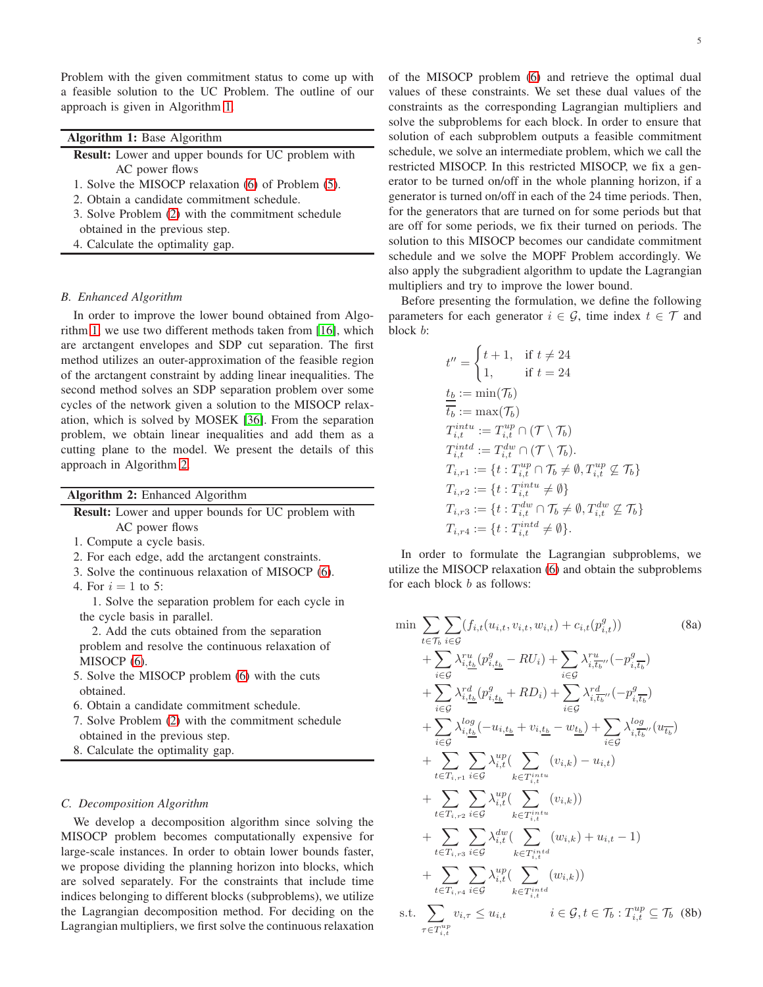<span id="page-4-1"></span>Problem with the given commitment status to come up with a feasible solution to the UC Problem. The outline of our approach is given in Algorithm [1.](#page-4-1)

| Algorithm 1: Base Algorithm |  |  |
|-----------------------------|--|--|
|                             |  |  |

- Result: Lower and upper bounds for UC problem with AC power flows
- 1. Solve the MISOCP relaxation [\(6\)](#page-3-6) of Problem [\(5\)](#page-3-5).
- 2. Obtain a candidate commitment schedule.
- 3. Solve Problem [\(2\)](#page-3-2) with the commitment schedule obtained in the previous step.
- 4. Calculate the optimality gap.

# *B. Enhanced Algorithm*

In order to improve the lower bound obtained from Algorithm [1,](#page-4-1) we use two different methods taken from [\[16\]](#page-8-14), which are arctangent envelopes and SDP cut separation. The first method utilizes an outer-approximation of the feasible region of the arctangent constraint by adding linear inequalities. The second method solves an SDP separation problem over some cycles of the network given a solution to the MISOCP relaxation, which is solved by MOSEK [\[36\]](#page-8-32). From the separation problem, we obtain linear inequalities and add them as a cutting plane to the model. We present the details of this approach in Algorithm [2.](#page-4-2)

<span id="page-4-2"></span>

| Algorithm 2: Enhanced Algorithm |  |  |  |
|---------------------------------|--|--|--|
|---------------------------------|--|--|--|

| <b>Result:</b> Lower and upper bounds for UC problem with |
|-----------------------------------------------------------|
| AC power flows                                            |
| 1. Compute a cycle basis.                                 |
|                                                           |

- 2. For each edge, add the arctangent constraints.
- 3. Solve the continuous relaxation of MISOCP [\(6\)](#page-3-6).
- 4. For  $i = 1$  to 5:

1. Solve the separation problem for each cycle in the cycle basis in parallel.

2. Add the cuts obtained from the separation problem and resolve the continuous relaxation of MISOCP [\(6\)](#page-3-6).

- 5. Solve the MISOCP problem [\(6\)](#page-3-6) with the cuts obtained.
- 6. Obtain a candidate commitment schedule.

7. Solve Problem [\(2\)](#page-3-2) with the commitment schedule obtained in the previous step.

8. Calculate the optimality gap.

# *C. Decomposition Algorithm*

We develop a decomposition algorithm since solving the MISOCP problem becomes computationally expensive for large-scale instances. In order to obtain lower bounds faster, we propose dividing the planning horizon into blocks, which are solved separately. For the constraints that include time indices belonging to different blocks (subproblems), we utilize the Lagrangian decomposition method. For deciding on the Lagrangian multipliers, we first solve the continuous relaxation

of the MISOCP problem [\(6\)](#page-3-6) and retrieve the optimal dual values of these constraints. We set these dual values of the constraints as the corresponding Lagrangian multipliers and solve the subproblems for each block. In order to ensure that solution of each subproblem outputs a feasible commitment schedule, we solve an intermediate problem, which we call the restricted MISOCP. In this restricted MISOCP, we fix a generator to be turned on/off in the whole planning horizon, if a generator is turned on/off in each of the 24 time periods. Then, for the generators that are turned on for some periods but that are off for some periods, we fix their turned on periods. The solution to this MISOCP becomes our candidate commitment schedule and we solve the MOPF Problem accordingly. We also apply the subgradient algorithm to update the Lagrangian multipliers and try to improve the lower bound.

Before presenting the formulation, we define the following parameters for each generator  $i \in \mathcal{G}$ , time index  $t \in \mathcal{T}$  and block b:

$$
t'' = \begin{cases} t+1, & \text{if } t \neq 24 \\ 1, & \text{if } t = 24 \end{cases}
$$
  
\n
$$
\frac{t_b}{t_b} := \min(\mathcal{T}_b)
$$
  
\n
$$
T_{i,t}^{intu} := T_{i,t}^{up} \cap (\mathcal{T} \setminus \mathcal{T}_b)
$$
  
\n
$$
T_{i,t}^{intd} := T_{i,t}^{dv} \cap (\mathcal{T} \setminus \mathcal{T}_b).
$$
  
\n
$$
T_{i,r1} := \{t : T_{i,t}^{up} \cap \mathcal{T}_b \neq \emptyset, T_{i,t}^{up} \nsubseteq \mathcal{T}_b\}
$$
  
\n
$$
T_{i,r2} := \{t : T_{i,t}^{intu} \neq \emptyset\}
$$
  
\n
$$
T_{i,r3} := \{t : T_{i,t}^{du} \cap \mathcal{T}_b \neq \emptyset, T_{i,t}^{dw} \nsubseteq \mathcal{T}_b\}
$$
  
\n
$$
T_{i,r4} := \{t : T_{i,t}^{ind} \neq \emptyset\}.
$$

<span id="page-4-3"></span>In order to formulate the Lagrangian subproblems, we utilize the MISOCP relaxation [\(6\)](#page-3-6) and obtain the subproblems for each block b as follows:

<span id="page-4-0"></span>
$$
\min \sum_{t \in \mathcal{T}_b} \sum_{i \in \mathcal{G}} (f_{i,t}(u_{i,t}, v_{i,t}, w_{i,t}) + c_{i,t}(p_{i,t}^g))
$$
\n
$$
+ \sum_{i \in \mathcal{G}} \lambda_{i,\underline{t_b}}^{\underline{r}u} (p_{i,\underline{t_b}}^g - RU_i) + \sum_{i \in \mathcal{G}} \lambda_{i,\underline{t_b}}^{\underline{r}u} (p_{i,\underline{t_b}}^g)
$$
\n
$$
+ \sum_{i \in \mathcal{G}} \lambda_{i,\underline{t_b}}^{\underline{r}d} (p_{i,\underline{t_b}}^g + RD_i) + \sum_{i \in \mathcal{G}} \lambda_{i,\underline{t_b}}^{\underline{r}d} (p_{i,\underline{t_b}}^g)
$$
\n
$$
+ \sum_{i \in \mathcal{G}} \lambda_{i,\underline{t_b}}^{\underline{t_d}} (u_{i,\underline{t_b}} + v_{i,\underline{t_b}} - w_{\underline{t_b}}) + \sum_{i \in \mathcal{G}} \lambda_{i,\overline{t_b}}^{\underline{t_d}} (u_{\overline{t_b}})
$$
\n
$$
+ \sum_{t \in \mathcal{T}_{i}, \tau_1} \sum_{i \in \mathcal{G}} \lambda_{i,t}^{\underline{u_p}} (\sum_{k \in \mathcal{T}_{i,t}^{int}} (v_{i,k}) - u_{i,t})
$$
\n
$$
+ \sum_{t \in \mathcal{T}_{i}, \tau_2} \sum_{i \in \mathcal{G}} \lambda_{i,t}^{\underline{u_p}} (\sum_{k \in \mathcal{T}_{i,t}^{int}} (v_{i,k}))
$$
\n
$$
+ \sum_{t \in \mathcal{T}_{i}, \tau_3} \sum_{i \in \mathcal{G}} \lambda_{i,t}^{\underline{d}} (\sum_{k \in \mathcal{T}_{i,t}^{int}} (w_{i,k}) + u_{i,t} - 1)
$$
\n
$$
+ \sum_{t \in \mathcal{T}_{i}, \tau_4} \sum_{i \in \mathcal{G}} \lambda_{i,t}^{\underline{u_p}} (\sum_{k \in \mathcal{T}_{i,t}^{int}} (w_{i,k}))
$$
\ns.t. 
$$
\sum_{\tau \in \mathcal{T}_{i,t}^{u_p}} v_{i,\tau} \le u_{i,t} \qquad i \in \mathcal{G}, t \in \mathcal{T}_b :
$$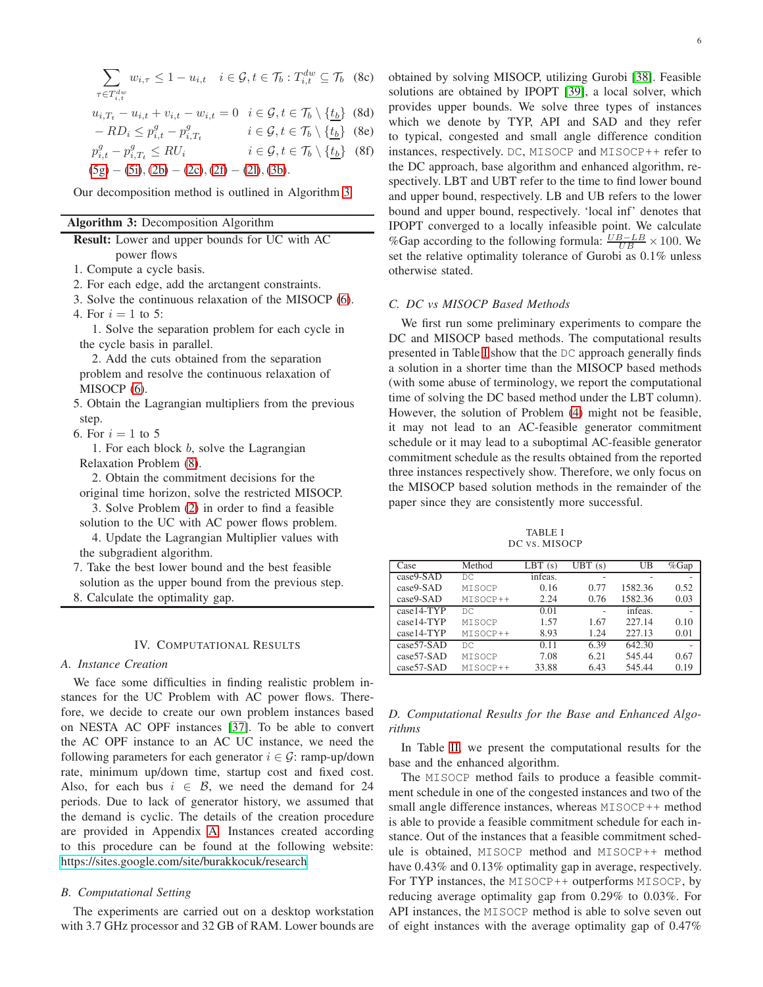$$
\sum_{\tau \in T_{i,t}^{dw}} w_{i,\tau} \le 1 - u_{i,t} \quad i \in \mathcal{G}, t \in \mathcal{T}_b : T_{i,t}^{dw} \subseteq \mathcal{T}_b \quad (8c)
$$

$$
u_{i,T_t} - u_{i,t} + v_{i,t} - w_{i,t} = 0 \quad i \in \mathcal{G}, t \in \mathcal{T}_b \setminus \{\underline{t_b}\} \tag{8d}
$$

$$
- RD_i \le p_{i,t}^g - p_{i,T_t}^g \qquad i \in \mathcal{G}, t \in \mathcal{T}_b \setminus \{ \underline{t_b} \} \quad \text{(8e)}
$$

$$
p_{i,t}^g - p_{i,T_t}^g \le RU_i \qquad \qquad i \in \mathcal{G}, t \in \mathcal{T}_b \setminus \{\underline{t_b}\} \quad (8f)
$$

 $(5g) - (5i), (2b) - (2c), (2f) - (2l), (3b).$  $(5g) - (5i), (2b) - (2c), (2f) - (2l), (3b).$  $(5g) - (5i), (2b) - (2c), (2f) - (2l), (3b).$  $(5g) - (5i), (2b) - (2c), (2f) - (2l), (3b).$  $(5g) - (5i), (2b) - (2c), (2f) - (2l), (3b).$  $(5g) - (5i), (2b) - (2c), (2f) - (2l), (3b).$  $(5g) - (5i), (2b) - (2c), (2f) - (2l), (3b).$  $(5g) - (5i), (2b) - (2c), (2f) - (2l), (3b).$  $(5g) - (5i), (2b) - (2c), (2f) - (2l), (3b).$  $(5g) - (5i), (2b) - (2c), (2f) - (2l), (3b).$  $(5g) - (5i), (2b) - (2c), (2f) - (2l), (3b).$  $(5g) - (5i), (2b) - (2c), (2f) - (2l), (3b).$  $(5g) - (5i), (2b) - (2c), (2f) - (2l), (3b).$  $(5g) - (5i), (2b) - (2c), (2f) - (2l), (3b).$ 

Our decomposition method is outlined in Algorithm [3.](#page-5-5)

#### Algorithm 3: Decomposition Algorithm

| <b>Result:</b> Lower and upper bounds for UC with AC |
|------------------------------------------------------|
| power flows                                          |

1. Compute a cycle basis.

- 2. For each edge, add the arctangent constraints.
- 3. Solve the continuous relaxation of the MISOCP [\(6\)](#page-3-6). 4. For  $i = 1$  to 5:

1. Solve the separation problem for each cycle in the cycle basis in parallel.

2. Add the cuts obtained from the separation problem and resolve the continuous relaxation of MISOCP [\(6\)](#page-3-6).

- 5. Obtain the Lagrangian multipliers from the previous step.
- 6. For  $i = 1$  to 5

1. For each block  $b$ , solve the Lagrangian Relaxation Problem [\(8\)](#page-4-3).

2. Obtain the commitment decisions for the original time horizon, solve the restricted MISOCP.

3. Solve Problem [\(2\)](#page-3-2) in order to find a feasible solution to the UC with AC power flows problem.

4. Update the Lagrangian Multiplier values with the subgradient algorithm.

7. Take the best lower bound and the best feasible solution as the upper bound from the previous step. 8. Calculate the optimality gap.

# IV. COMPUTATIONAL RESULTS

# <span id="page-5-4"></span>*A. Instance Creation*

We face some difficulties in finding realistic problem instances for the UC Problem with AC power flows. Therefore, we decide to create our own problem instances based on NESTA AC OPF instances [\[37\]](#page-8-33). To be able to convert the AC OPF instance to an AC UC instance, we need the following parameters for each generator  $i \in \mathcal{G}$ : ramp-up/down rate, minimum up/down time, startup cost and fixed cost. Also, for each bus  $i \in \mathcal{B}$ , we need the demand for 24 periods. Due to lack of generator history, we assumed that the demand is cyclic. The details of the creation procedure are provided in Appendix [A.](#page-7-0) Instances created according to this procedure can be found at the following website: [https://sites.google.com/site/burakkocuk/research.](https://sites.google.com/site/burakkocuk/research)

### *B. Computational Setting*

The experiments are carried out on a desktop workstation with 3.7 GHz processor and 32 GB of RAM. Lower bounds are

<span id="page-5-5"></span><span id="page-5-3"></span><span id="page-5-2"></span><span id="page-5-1"></span><span id="page-5-0"></span>obtained by solving MISOCP, utilizing Gurobi [\[38\]](#page-8-34). Feasible solutions are obtained by IPOPT [\[39\]](#page-8-35), a local solver, which provides upper bounds. We solve three types of instances which we denote by TYP, API and SAD and they refer to typical, congested and small angle difference condition instances, respectively. DC, MISOCP and MISOCP++ refer to the DC approach, base algorithm and enhanced algorithm, respectively. LBT and UBT refer to the time to find lower bound and upper bound, respectively. LB and UB refers to the lower bound and upper bound, respectively. 'local inf' denotes that IPOPT converged to a locally infeasible point. We calculate %Gap according to the following formula:  $\frac{UB - LB}{UB} \times 100$ . We set the relative optimality tolerance of Gurobi as 0.1% unless otherwise stated.

## *C. DC vs MISOCP Based Methods*

We first run some preliminary experiments to compare the DC and MISOCP based methods. The computational results presented in Table [I](#page-5-6) show that the DC approach generally finds a solution in a shorter time than the MISOCP based methods (with some abuse of terminology, we report the computational time of solving the DC based method under the LBT column). However, the solution of Problem [\(4\)](#page-3-4) might not be feasible, it may not lead to an AC-feasible generator commitment schedule or it may lead to a suboptimal AC-feasible generator commitment schedule as the results obtained from the reported three instances respectively show. Therefore, we only focus on the MISOCP based solution methods in the remainder of the paper since they are consistently more successful.

TABLE I DC VS. MISOCP

<span id="page-5-6"></span>

| Case         | Method   | LBT<br>(S) | UBT(s) | UB      | %Gap |
|--------------|----------|------------|--------|---------|------|
| case9-SAD    | DC.      | infeas.    |        |         |      |
| case9-SAD    | MISOCP   | 0.16       | 0.77   | 1582.36 | 0.52 |
| case9-SAD    | MISOCP++ | 2.24       | 0.76   | 1582.36 | 0.03 |
| case14-TYP   | DC.      | 0.01       |        | infeas. |      |
| case14-TYP   | MISOCP   | 1.57       | 1.67   | 227.14  | 0.10 |
| case14-TYP   | MISOCP++ | 8.93       | 1.24   | 227.13  | 0.01 |
| case57-SAD   | DC.      | 0.11       | 6.39   | 642.30  |      |
| $case57-SAD$ | MISOCP   | 7.08       | 6.21   | 545.44  | 0.67 |
| case57-SAD   | MISOCP++ | 33.88      | 6.43   | 545.44  | 0.19 |

# *D. Computational Results for the Base and Enhanced Algorithms*

In Table [II,](#page-6-1) we present the computational results for the base and the enhanced algorithm.

The MISOCP method fails to produce a feasible commitment schedule in one of the congested instances and two of the small angle difference instances, whereas MISOCP++ method is able to provide a feasible commitment schedule for each instance. Out of the instances that a feasible commitment schedule is obtained, MISOCP method and MISOCP++ method have 0.43% and 0.13% optimality gap in average, respectively. For TYP instances, the MISOCP++ outperforms MISOCP, by reducing average optimality gap from 0.29% to 0.03%. For API instances, the MISOCP method is able to solve seven out of eight instances with the average optimality gap of 0.47%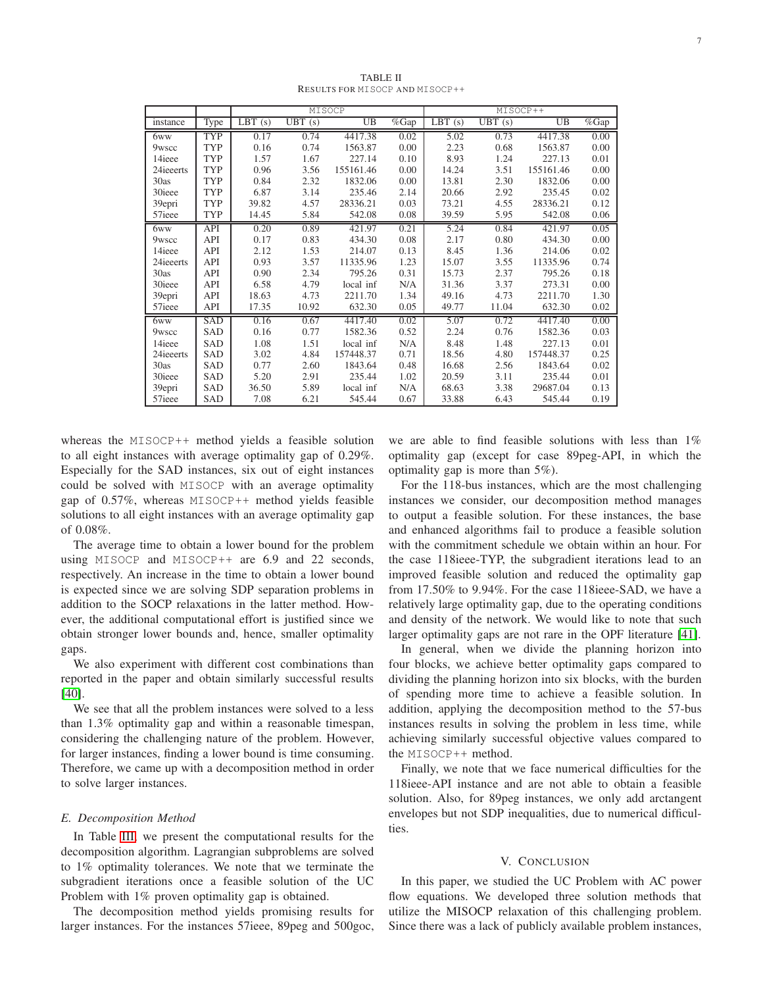<span id="page-6-1"></span>

|                    |            |                      | MISOCP               |                 |                | MISOCP++             |                     |           |                     |
|--------------------|------------|----------------------|----------------------|-----------------|----------------|----------------------|---------------------|-----------|---------------------|
| instance           | Type       | $\overline{LBT}$ (s) | $\overline{UBT}$ (s) | $\overline{UB}$ | $\sqrt{\%Gap}$ | $\overline{LBT}$ (s) | $\overline{UBT}(s)$ | UB        | $\overline{\%}$ Gap |
| 6ww                | <b>TYP</b> | 0.17                 | 0.74                 | 4417.38         | 0.02           | 5.02                 | 0.73                | 4417.38   | 0.00                |
| 9wscc              | <b>TYP</b> | 0.16                 | 0.74                 | 1563.87         | 0.00           | 2.23                 | 0.68                | 1563.87   | 0.00                |
| 14ieee             | TYP        | 1.57                 | 1.67                 | 227.14          | 0.10           | 8.93                 | 1.24                | 227.13    | 0.01                |
| 24ieeerts          | TYP        | 0.96                 | 3.56                 | 155161.46       | 0.00           | 14.24                | 3.51                | 155161.46 | 0.00                |
| 30as               | TYP        | 0.84                 | 2.32                 | 1832.06         | 0.00           | 13.81                | 2.30                | 1832.06   | 0.00                |
| 30ieee             | TYP        | 6.87                 | 3.14                 | 235.46          | 2.14           | 20.66                | 2.92                | 235.45    | 0.02                |
| 39epri             | TYP        | 39.82                | 4.57                 | 28336.21        | 0.03           | 73.21                | 4.55                | 28336.21  | 0.12                |
| 57ieee             | TYP        | 14.45                | 5.84                 | 542.08          | 0.08           | 39.59                | 5.95                | 542.08    | 0.06                |
| 6ww                | API        | 0.20                 | 0.89                 | 421.97          | 0.21           | 5.24                 | 0.84                | 421.97    | 0.05                |
| 9wscc              | API        | 0.17                 | 0.83                 | 434.30          | 0.08           | 2.17                 | 0.80                | 434.30    | 0.00                |
| 14ieee             | API        | 2.12                 | 1.53                 | 214.07          | 0.13           | 8.45                 | 1.36                | 214.06    | 0.02                |
| 24ieeerts          | API        | 0.93                 | 3.57                 | 11335.96        | 1.23           | 15.07                | 3.55                | 11335.96  | 0.74                |
| 30as               | API        | 0.90                 | 2.34                 | 795.26          | 0.31           | 15.73                | 2.37                | 795.26    | 0.18                |
| 30ieee             | API        | 6.58                 | 4.79                 | local inf       | N/A            | 31.36                | 3.37                | 273.31    | 0.00                |
| 39epri             | API        | 18.63                | 4.73                 | 2211.70         | 1.34           | 49.16                | 4.73                | 2211.70   | 1.30                |
| 57ieee             | API        | 17.35                | 10.92                | 632.30          | 0.05           | 49.77                | 11.04               | 632.30    | 0.02                |
| 6ww                | <b>SAD</b> | 0.16                 | 0.67                 | 4417.40         | 0.02           | 5.07                 | 0.72                | 4417.40   | 0.00                |
| 9wscc              | SAD        | 0.16                 | 0.77                 | 1582.36         | 0.52           | 2.24                 | 0.76                | 1582.36   | 0.03                |
| 14ieee             | SAD        | 1.08                 | 1.51                 | local inf       | N/A            | 8.48                 | 1.48                | 227.13    | 0.01                |
| 24ieeerts          | SAD        | 3.02                 | 4.84                 | 157448.37       | 0.71           | 18.56                | 4.80                | 157448.37 | 0.25                |
| 30as               | SAD        | 0.77                 | 2.60                 | 1843.64         | 0.48           | 16.68                | 2.56                | 1843.64   | 0.02                |
| 30ieee             | SAD        | 5.20                 | 2.91                 | 235.44          | 1.02           | 20.59                | 3.11                | 235.44    | 0.01                |
| 39epri             | SAD        | 36.50                | 5.89                 | local inf       | N/A            | 68.63                | 3.38                | 29687.04  | 0.13                |
| 57 <sub>ieee</sub> | SAD        | 7.08                 | 6.21                 | 545.44          | 0.67           | 33.88                | 6.43                | 545.44    | 0.19                |

TABLE II RESULTS FOR MISOCP AND MISOCP++

whereas the MISOCP++ method yields a feasible solution to all eight instances with average optimality gap of 0.29%. Especially for the SAD instances, six out of eight instances could be solved with MISOCP with an average optimality gap of 0.57%, whereas MISOCP++ method yields feasible solutions to all eight instances with an average optimality gap of 0.08%.

The average time to obtain a lower bound for the problem using MISOCP and MISOCP++ are 6.9 and 22 seconds, respectively. An increase in the time to obtain a lower bound is expected since we are solving SDP separation problems in addition to the SOCP relaxations in the latter method. However, the additional computational effort is justified since we obtain stronger lower bounds and, hence, smaller optimality gaps.

We also experiment with different cost combinations than reported in the paper and obtain similarly successful results [\[40\]](#page-8-36).

We see that all the problem instances were solved to a less than 1.3% optimality gap and within a reasonable timespan, considering the challenging nature of the problem. However, for larger instances, finding a lower bound is time consuming. Therefore, we came up with a decomposition method in order to solve larger instances.

#### *E. Decomposition Method*

In Table [III,](#page-7-1) we present the computational results for the decomposition algorithm. Lagrangian subproblems are solved to 1% optimality tolerances. We note that we terminate the subgradient iterations once a feasible solution of the UC Problem with 1% proven optimality gap is obtained.

The decomposition method yields promising results for larger instances. For the instances 57ieee, 89peg and 500goc, we are able to find feasible solutions with less than  $1\%$ optimality gap (except for case 89peg-API, in which the optimality gap is more than 5%).

For the 118-bus instances, which are the most challenging instances we consider, our decomposition method manages to output a feasible solution. For these instances, the base and enhanced algorithms fail to produce a feasible solution with the commitment schedule we obtain within an hour. For the case 118ieee-TYP, the subgradient iterations lead to an improved feasible solution and reduced the optimality gap from 17.50% to 9.94%. For the case 118ieee-SAD, we have a relatively large optimality gap, due to the operating conditions and density of the network. We would like to note that such larger optimality gaps are not rare in the OPF literature [\[41\]](#page-8-37).

In general, when we divide the planning horizon into four blocks, we achieve better optimality gaps compared to dividing the planning horizon into six blocks, with the burden of spending more time to achieve a feasible solution. In addition, applying the decomposition method to the 57-bus instances results in solving the problem in less time, while achieving similarly successful objective values compared to the MISOCP++ method.

Finally, we note that we face numerical difficulties for the 118ieee-API instance and are not able to obtain a feasible solution. Also, for 89peg instances, we only add arctangent envelopes but not SDP inequalities, due to numerical difficulties.

## V. CONCLUSION

<span id="page-6-0"></span>In this paper, we studied the UC Problem with AC power flow equations. We developed three solution methods that utilize the MISOCP relaxation of this challenging problem. Since there was a lack of publicly available problem instances,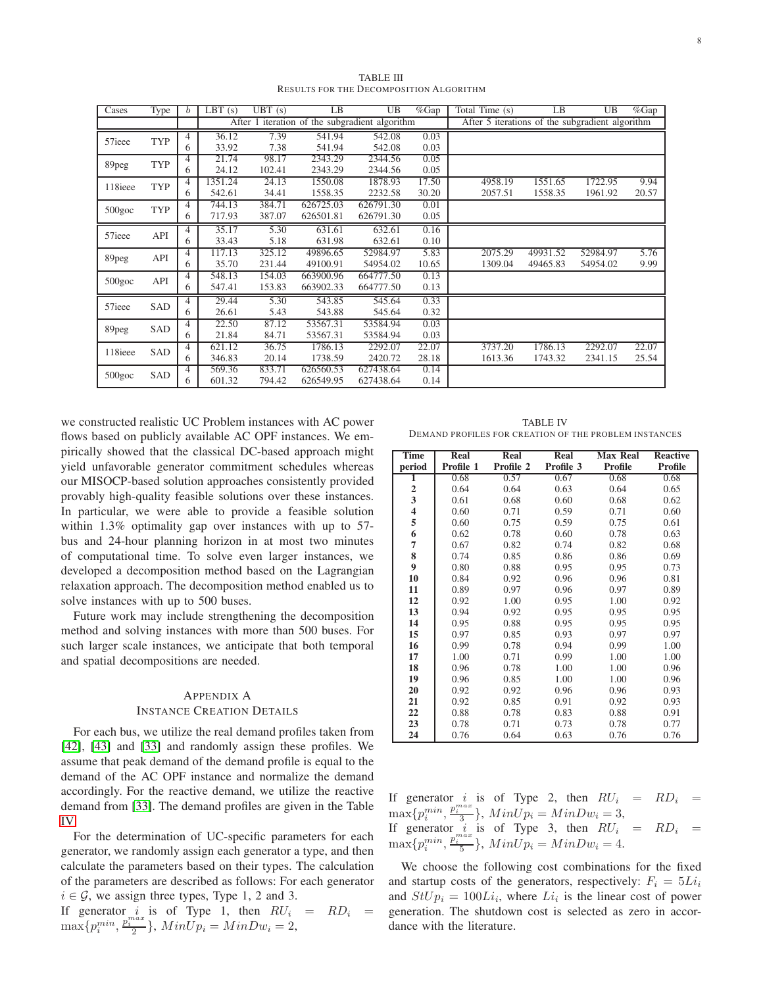<span id="page-7-1"></span>

| Cases     | Type       | $\boldsymbol{b}$ | $\overline{L}BT(s)$ | $\overline{UBT}(s)$ | LB        | UB                                             | %Gap  | Total Time (s)                                  | LB       | UB       | %Gap  |
|-----------|------------|------------------|---------------------|---------------------|-----------|------------------------------------------------|-------|-------------------------------------------------|----------|----------|-------|
|           |            |                  |                     |                     |           | After 1 iteration of the subgradient algorithm |       | After 5 iterations of the subgradient algorithm |          |          |       |
|           | <b>TYP</b> | 4                | 36.12               | 7.39                | 541.94    | 542.08                                         | 0.03  |                                                 |          |          |       |
| 57ieee    |            | 6                | 33.92               | 7.38                | 541.94    | 542.08                                         | 0.03  |                                                 |          |          |       |
| 89peg     | <b>TYP</b> | 4                | 21.74               | 98.17               | 2343.29   | 2344.56                                        | 0.05  |                                                 |          |          |       |
|           |            | 6                | 24.12               | 102.41              | 2343.29   | 2344.56                                        | 0.05  |                                                 |          |          |       |
| 118ieee   | TYP        | 4                | 1351.24             | 24.13               | 1550.08   | 1878.93                                        | 17.50 | 4958.19                                         | 1551.65  | 1722.95  | 9.94  |
|           |            | 6                | 542.61              | 34.41               | 1558.35   | 2232.58                                        | 30.20 | 2057.51                                         | 1558.35  | 1961.92  | 20.57 |
| $500$ goc | TYP        | 4                | 744.13              | 384.71              | 626725.03 | 626791.30                                      | 0.01  |                                                 |          |          |       |
|           |            | 6                | 717.93              | 387.07              | 626501.81 | 626791.30                                      | 0.05  |                                                 |          |          |       |
| 57ieee    | API        | 4                | 35.17               | 5.30                | 631.61    | 632.61                                         | 0.16  |                                                 |          |          |       |
|           |            | 6                | 33.43               | 5.18                | 631.98    | 632.61                                         | 0.10  |                                                 |          |          |       |
|           | API        | $\overline{4}$   | 117.13              | 325.12              | 49896.65  | 52984.97                                       | 5.83  | 2075.29                                         | 49931.52 | 52984.97 | 5.76  |
| 89peg     |            | 6                | 35.70               | 231.44              | 49100.91  | 54954.02                                       | 10.65 | 1309.04                                         | 49465.83 | 54954.02 | 9.99  |
| $500$ goc | API        | 4                | 548.13              | 154.03              | 663900.96 | 664777.50                                      | 0.13  |                                                 |          |          |       |
|           |            | 6                | 547.41              | 153.83              | 663902.33 | 664777.50                                      | 0.13  |                                                 |          |          |       |
| 57ieee    | <b>SAD</b> | 4                | 29.44               | 5.30                | 543.85    | 545.64                                         | 0.33  |                                                 |          |          |       |
|           |            | 6                | 26.61               | 5.43                | 543.88    | 545.64                                         | 0.32  |                                                 |          |          |       |
| 89peg     | SAD        | 4                | 22.50               | 87.12               | 53567.31  | 53584.94                                       | 0.03  |                                                 |          |          |       |
|           |            | 6                | 21.84               | 84.71               | 53567.31  | 53584.94                                       | 0.03  |                                                 |          |          |       |
| 118ieee   | SAD        | $\overline{4}$   | 621.12              | 36.75               | 1786.13   | 2292.07                                        | 22.07 | 3737.20                                         | 1786.13  | 2292.07  | 22.07 |
|           |            | 6                | 346.83              | 20.14               | 1738.59   | 2420.72                                        | 28.18 | 1613.36                                         | 1743.32  | 2341.15  | 25.54 |
| $500$ goc | SAD        | 4                | 569.36              | 833.71              | 626560.53 | 627438.64                                      | 0.14  |                                                 |          |          |       |
|           |            | 6                | 601.32              | 794.42              | 626549.95 | 627438.64                                      | 0.14  |                                                 |          |          |       |

TABLE III RESULTS FOR THE DECOMPOSITION ALGORITHM

we constructed realistic UC Problem instances with AC power flows based on publicly available AC OPF instances. We empirically showed that the classical DC-based approach might yield unfavorable generator commitment schedules whereas our MISOCP-based solution approaches consistently provided provably high-quality feasible solutions over these instances. In particular, we were able to provide a feasible solution within 1.3% optimality gap over instances with up to 57 bus and 24-hour planning horizon in at most two minutes of computational time. To solve even larger instances, we developed a decomposition method based on the Lagrangian relaxation approach. The decomposition method enabled us to solve instances with up to 500 buses.

Future work may include strengthening the decomposition method and solving instances with more than 500 buses. For such larger scale instances, we anticipate that both temporal and spatial decompositions are needed.

# <span id="page-7-0"></span>APPENDIX A INSTANCE CREATION DETAILS

For each bus, we utilize the real demand profiles taken from [\[42\]](#page-8-38), [\[43\]](#page-8-39) and [\[33\]](#page-8-29) and randomly assign these profiles. We assume that peak demand of the demand profile is equal to the demand of the AC OPF instance and normalize the demand accordingly. For the reactive demand, we utilize the reactive demand from [\[33\]](#page-8-29). The demand profiles are given in the Table [IV.](#page-7-2)

For the determination of UC-specific parameters for each generator, we randomly assign each generator a type, and then calculate the parameters based on their types. The calculation of the parameters are described as follows: For each generator  $i \in \mathcal{G}$ , we assign three types, Type 1, 2 and 3.

If generator *i* is of Type 1, then  $RU_i = RD_i =$  $\max\{p_i^{min}, \frac{p_i^{max}}{2}\},$   $MinUp_i = MinDw_i = 2,$ 

<span id="page-7-2"></span>TABLE IV DEMAND PROFILES FOR CREATION OF THE PROBLEM INSTANCES

| <b>Time</b>      | Real      | Real      | Real      | <b>Max Real</b> | <b>Reactive</b> |
|------------------|-----------|-----------|-----------|-----------------|-----------------|
| period           | Profile 1 | Profile 2 | Profile 3 | Profile         | <b>Profile</b>  |
| 1                | 0.68      | 0.57      | 0.67      | 0.68            | 0.68            |
| $\boldsymbol{2}$ | 0.64      | 0.64      | 0.63      | 0.64            | 0.65            |
| 3                | 0.61      | 0.68      | 0.60      | 0.68            | 0.62            |
| 4                | 0.60      | 0.71      | 0.59      | 0.71            | 0.60            |
| 5                | 0.60      | 0.75      | 0.59      | 0.75            | 0.61            |
| 6                | 0.62      | 0.78      | 0.60      | 0.78            | 0.63            |
| $\overline{7}$   | 0.67      | 0.82      | 0.74      | 0.82            | 0.68            |
| 8                | 0.74      | 0.85      | 0.86      | 0.86            | 0.69            |
| 9                | 0.80      | 0.88      | 0.95      | 0.95            | 0.73            |
| 10               | 0.84      | 0.92      | 0.96      | 0.96            | 0.81            |
| 11               | 0.89      | 0.97      | 0.96      | 0.97            | 0.89            |
| 12               | 0.92      | 1.00      | 0.95      | 1.00            | 0.92            |
| 13               | 0.94      | 0.92      | 0.95      | 0.95            | 0.95            |
| 14               | 0.95      | 0.88      | 0.95      | 0.95            | 0.95            |
| 15               | 0.97      | 0.85      | 0.93      | 0.97            | 0.97            |
| 16               | 0.99      | 0.78      | 0.94      | 0.99            | 1.00            |
| 17               | 1.00      | 0.71      | 0.99      | 1.00            | 1.00            |
| 18               | 0.96      | 0.78      | 1.00      | 1.00            | 0.96            |
| 19               | 0.96      | 0.85      | 1.00      | 1.00            | 0.96            |
| 20               | 0.92      | 0.92      | 0.96      | 0.96            | 0.93            |
| 21               | 0.92      | 0.85      | 0.91      | 0.92            | 0.93            |
| 22               | 0.88      | 0.78      | 0.83      | 0.88            | 0.91            |
| 23               | 0.78      | 0.71      | 0.73      | 0.78            | 0.77            |
| 24               | 0.76      | 0.64      | 0.63      | 0.76            | 0.76            |

If generator *i* is of Type 2, then  $RU_i = RD_i =$  $\max\{p_i^{min}, \frac{p_i^{max}}{3}\},$   $MinUp_i = MinDw_i = 3,$ If generator *i* is of Type 3, then  $RU_i = RD_i =$  $\max\{p_i^{min}, \frac{p_i^{max}}{5}\},$   $MinUp_i = MinDw_i = 4.$ 

We choose the following cost combinations for the fixed and startup costs of the generators, respectively:  $F_i = 5Li_i$ and  $StUp_i = 100Li_i$ , where  $Li_i$  is the linear cost of power generation. The shutdown cost is selected as zero in accordance with the literature.